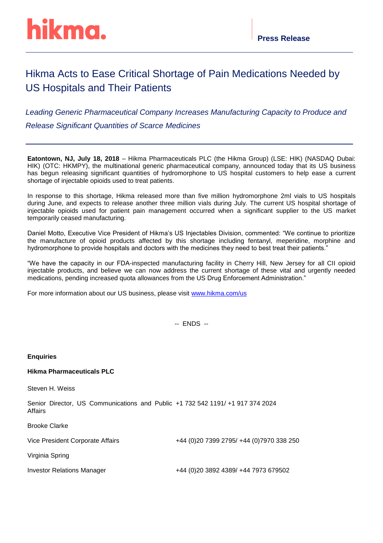## Hikma Acts to Ease Critical Shortage of Pain Medications Needed by US Hospitals and Their Patients

*Leading Generic Pharmaceutical Company Increases Manufacturing Capacity to Produce and Release Significant Quantities of Scarce Medicines*

**Eatontown, NJ, July 18, 2018** – Hikma Pharmaceuticals PLC (the Hikma Group) (LSE: HIK) (NASDAQ Dubai: HIK) (OTC: HKMPY), the multinational generic pharmaceutical company, announced today that its US business has begun releasing significant quantities of hydromorphone to US hospital customers to help ease a current shortage of injectable opioids used to treat patients.

In response to this shortage, Hikma released more than five million hydromorphone 2ml vials to US hospitals during June, and expects to release another three million vials during July. The current US hospital shortage of injectable opioids used for patient pain management occurred when a significant supplier to the US market temporarily ceased manufacturing.

Daniel Motto, Executive Vice President of Hikma's US Injectables Division, commented: "We continue to prioritize the manufacture of opioid products affected by this shortage including fentanyl, meperidine, morphine and hydromorphone to provide hospitals and doctors with the medicines they need to best treat their patients."

"We have the capacity in our FDA-inspected manufacturing facility in Cherry Hill, New Jersey for all CII opioid injectable products, and believe we can now address the current shortage of these vital and urgently needed medications, pending increased quota allowances from the US Drug Enforcement Administration."

For more information about our US business, please visit [www.hikma.com/us](http://www.hikma.com/us)

-- ENDS --

| <b>Enquiries</b>                                                                          |                                            |
|-------------------------------------------------------------------------------------------|--------------------------------------------|
| <b>Hikma Pharmaceuticals PLC</b>                                                          |                                            |
| Steven H. Weiss                                                                           |                                            |
| Senior Director, US Communications and Public +1 732 542 1191/ +1 917 374 2024<br>Affairs |                                            |
| <b>Brooke Clarke</b>                                                                      |                                            |
| Vice President Corporate Affairs                                                          | +44 (0) 20 7399 2795/ +44 (0) 7970 338 250 |
| Virginia Spring                                                                           |                                            |
| Investor Relations Manager                                                                | +44 (0)20 3892 4389/ +44 7973 679502       |